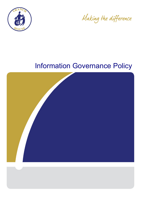

Making the difference

# Information Governance Policy

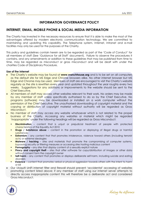# **INFORMATION GOVERNANCE POLICY**

# **INTERNET, EMAIL, MOBILE PHONE & SOCIAL MEDIA INFORMATION**

The Charity has invested in the necessary resources to ensure that it is able to make the most of the advantages offered by modern electronic communication technology. We are committed to maintaining and updating this capability. The Telephone system, Internet, Intranet and e-mail facilities may only be used for the purposes of the Charity.

This policy and guidelines contain herein are to be regarded as part of the 'Code of Conduct' for all members of staff (See 'Guidance for all Staff' document). Failure to observe the procedures it contains, and any amendments or addition to these guidelines that may be published from time to time, may be regarded as misconduct or gross misconduct and will be dealt with under the charities Code of Disciplinary Procedure.

#### **Use of the Internet**

- The Charity's website may be found at **www.vranchhouse.org** and is to be set on all computers as the default site for MS Edge and Chrome browsers alike. No other internet browser but MS Edge and Chrome may be used. Members of staff are encouraged to visit the Charity's website regularly as the site is rewritten every year and updated throughout the year roughly every two weeks. Suggestions for any additions or improvements to the website should be sent to the Chief Executive.
- All members of staff may access other websites relevant to their work. No orders may be made by any member of staff unless specifically authorised to do so by the Chief Executive. No programs (software) may be downloaded or installed on a work computer without the permission of the Chief Executive. The unauthorised downloading of copyright material and the copying or distribution of copyright material without authority will be regarded as Gross Misconduct.
- No member of staff may access any website whatsoever which is not related to the proper business of the Charity. Accessing any websites or material which might be regarded 'inappropriate' under the following headings will be regarded as Gross Misconduct:
	- **Discrimination** content that is unjust or prejudicial treatment of people with protected characteristics of the Equality Act 2010
	- **Drugs / Substance abuse** content in the promotion or displaying of illegal drugs or harmful substances
	- **Extremism** any content that that promotes intolerance, violence toward others (including terrorist acts) or extreme ideologies
	- **Malware / hacking**  sites and materials that promote the compromising of computer systems, bypassing security or filtering measures or accessing sites hosting malicious content
	- **Pornography**  any sites that display content of a sexually explicit nature
	- **Piracy and copyright theft** sites that offer software for copy/distribution of images or other data without consent form the copyright owner
	- **Self-harm** any content that promotes or displays deliberate self-harm, including suicide and eating disorders
	- **Violence**  content that promotes verbal or physical aggression towards others with the intent to harm or kill
- Our Ubiquiti UniFi internet filter and firewall should prevent 'accidental' accessing of websites promoting content listed above; if any member of staff using our internet server attempts to directly access inappropriate content this will therefore be a deliberate act and considered Gross Misconduct.



Making the difference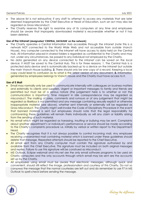- The above list is not exhaustive; if any staff to attempt to access any materials that are later deemed inappropriate by the Chief Executive or Head of Education, such an act may also be regarded as Gross Misconduct.
- The Charity reserves the right to examine any of its computers at any time and employees should be aware that improperly downloaded material is recoverable whether or not it has been deleted.

#### **Use of the Intranet (designated 'CENTRAL\_DATAHUB' on the network)**

- The Charity operates a Central Information Hub accessible through the intranet (note this is a network NOT connected to the World Wide Web and not accessible from outside Vranch House). Any computer connected to the intranet will have access to data held on the Central Hub. All information placed in shared folders is regarded as confidential to the Charity and may not, under any circumstances, be passed to any individual not employed by the Charity.
- No data generated on any device connected to the intranet can be saved on the local device; it MUST be saved to the Central Hub. This is for three reasons; 1. The Central Hub is a protected data device and is automatically backed-up to a device on the intranet but outside the main Vranch House building. **2.** There should only be one copy of a record. Keeping a local copy could lead to confusion as to what is the latest version of any document. **3.** Information generated by employees belongs to Vranch House and the Charity must have access to it.

#### **Use of E Mail**

- Email may normally only be used to communicate internally with colleagues on business matters and externally to clients and suppliers. Urgent or important messages to family and friends are permitted but must be of a serious nature (the judgement here is to whether or not the communication is important). Time misspent in idle correspondence may be regarded as misconduct. The mailing of jokes, comments and rumours or of any judgement that might be regarded as libellous is not permitted and any message containing sexually explicit or otherwise inappropriate material (see above), whether sent internally or externally will be regarded as Gross Misconduct. The Charity might well invoke the Code of Disciplinary Procedure in the event that banned material is sent but employees should note that the legal responsibility for contravening these guidelines will remain theirs individually as will any claim or liability arising from the sending of such material.
- No email which might be regarded as harassing, insulting or bullying may be sent. Complaints about another department's or individual's performance or service should be made according to the Charity's complaints procedure i.e. initially by verbal or written report to the Department Head.
- The Charity recognises that it is not always possible to control incoming mail. Any employee receiving unwarranted mail containing material which is banned under these guidelines should delete that message. Repeated attempts should be reported to the Chief Executive.
- All email sent from any Charity computer must contain the signature authorised by and available from the Chief Executive. This signature must be included on both original messages and replies. Failure to use this signature will be construed as Misconduct.
- MS Outlook, Eclipse webmail and nhs.net are the only email software programs to be used on Charity computers and the only accounts through which email may be sent are the accounts set up by the Charity.
- All employees using email must be aware that electronic messages, although quick and convenient, should still reflect the image, professionalism and courtesy of this Charity. Do not so compress the message that the normal courtesies are left out and do remember to use F7 in MS Outlook to spell-check before sending the message.



Making the difference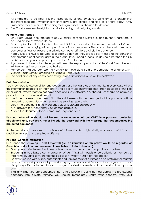- All emails are to be filed. It is the responsibility of any employee using email to ensure that important messages, whether sent or received, are printed and filed as a "hard copy". Only unsolicited mail or mail contravening these guidelines is authorised for deletion.
- The Charity reserves the right to monitor incoming and outgoing emails.

# **Portable Data Storage**

- Only Flash Drives (also referred to as USB 'sticks' or 'pen drives') provided by the Charity are to be used on-site at Vranch House.
- Data copied to a flash drive is to be used ONLY to move data between computers at Vranch House and the copying without permission of any program or file or any other data held on a computer at Vranch House to a private computer off-site is a disciplinary offence.
- Flash Drives are NOT to be used as a back-up device (they are too easily lost and the danger of compromised confidential data is too great). If you need a back-up device other than the CD or DVD drive in your computer, speak to the Chief Executive.
- If you need to take data off-site you will need the express permission of the Chief Executive who will keep a register of those so authorised.
- Remember that you can use the network to move data from one computer to another within Vranch House without emailing it or using a Flash Drive.
- The hard drive of any computer leaving service at Vranch House will be destroyed.

# **Data Transmission**

You may need to use email to send documents or other data as attachments. In every case where this information relates to an individual it is to be sent via encrypted email such as Egress or the NHS email client. Where staff do not have access to such software, any shared files should be password protected; for example in MS Word:

- Use issued password and email it to the addressee with the message that the password will be needed to open a document you will be sending separately.
- Open the document in MS Word and Select Tools/Options/Security.
- At "Password to Open" enter your chosen password.
- Attach the document to your email message and send.

## **Personal information should not be sent in an open email but ONLY in a password protected attachment and, obviously, never include the password with the message that accompanies the protected document.**

As the security of "personnel in confidence" information is a high priority any breach of this policy could be treated as a disciplinary offence.

## **Personal Contact Information**

In essence the following is **NOT PERMITTED (i.e. an infraction of this policy would be regarded as Gross Misconduct and make an employee liable to instant dismissal)**:

- Giving out a private email address or telephone number to a school pupil or outpatient.
- **Engaging in web-based communication AT ANY TIME with pupils or outpatients, or members of** their families, using software technologies like "Twitter", "MSN" or "Facebook".
- Communication with pupils, outpatients and families must at all times be on professional matters only, on headed paper or by email carrying the approved Vranch House signature. It is a disciplinary offence to permit or encourage a professional relationship to develop into a private one.
- If at any time you are concerned that a relationship is being pushed across the professional boundary into private territory, you should immediately share your concerns with your



Making the difference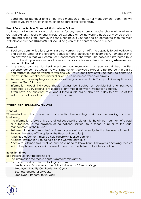departmental manager (one of the three members of the Senior Management Team). This will protect you from any later claims of an inappropriate relationship.

# **Use of Personal Mobile Phones at Work outside Offices**

Staff must not under any circumstances or for any reason use a mobile phone while at work OUTSIDE OFFICES. Mobile phones should be switched off during working hours but may be used in the grounds or the Staff Room during the lunch hour. If you need to be contacted then the main switchboard number (01392 468333) should be given as the contact phone number.

## **General**

- Electronic communications systems are convenient, can amplify the capacity to get work done and can be used for the effective acquisition and distribution of information. Remember that the downside is that your computer is connected to the world. The network is protected by a firewall but it is your responsibility to ensure that your anti-virus software is running **whenever you connect to the net.**
- It is good practice to treat electronic communications as you would treat written correspondence. You would throw junk mail away, you would expect to be treated with dignity and respect by people writing to you and you would act if any letter you received contained threats, libellous or obscene material or which compromised your own privacy.
- **Remember that everything you write carries the good name of this Charity with it every time you** press the "Send" button!
- Information about individuals should always be treated as confidential and password protected. Be very careful to take care of any media on which information is stored.
- If you have any questions at all about these guidelines or about your day to day use of the system, do not hesitate to ask the Chief Executive.
- $\bullet$

# **WRITTEN, PRINTED& DIGITAL RECORDS**

#### **General**

Where electronic data or a record of any kind is taken in writing or print and the resulting document is retained;

- The information should only be retained because it is relevant to the clinical treatment of a pupil or outpatient, to the provision of educational services to a school pupil or to the legal management of the business.
- Retained documents must be in a format approved and promulgated by the relevant Head of Service (the Head of Therapies or the Head of Education).
- All printed documents must be held securely in locked cabinets.
- All digital information is to be held on the Central Data Hub
- Access to retained files must be only on a need-to-know basis. Employees accessing records which they have no professional need to see could be liable to disciplinary action.

#### **Retention Times**

Records should only be retained if;

- The information the record contains remains relevant; or,
- The record must be retained for legal reasons;
	- Medical and School records until the individual is 25 years of age.
	- Employer's Liability Certificates for 30 years.
	- Business records for 20 years.
	- Employees' Records for 20 years.



Making the difference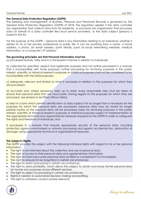# **The General Data Protection Regulation (GDPR)**

The keeping and management of Business, Personal and Personnel Records is governed by the General Data Protection Regulation (GDPR) of 2018. The regulation applies if the data controller (an organisation that collects data from EU residents), or processor (an organisation that processes data on behalf of a data controller like cloud service providers), or the data subject (person) is based in the EU.

For the purpose of the GDPR – "personal data is any information relating to an individual, whether it relates to his or her private, professional or public life. It can be anything from a name, a home address, a photo, an email address, bank details, posts on social networking websites, medical information, or a computer's IP address".

# **The governing principles are that Personal Information must be;**

a) processed lawfully, fairly and in a transparent manner in relation to individuals;

b) collected for specified, explicit and legitimate purposes and not further processed in a manner that is incompatible with those purposes; further processing for archiving purposes in the public interest, scientific or historical research purposes or statistical purposes shall not be considered to be incompatible with the initial purposes;

c) adequate, relevant and limited to what is necessary in relation to the purposes for which they are processed;

d) accurate and, where necessary, kept up to date; every reasonable step must be taken to ensure that personal data that are inaccurate, having regard to the purposes for which they are processed, are erased or rectified without delay;

e) kept in a form which permits identification of data subjects for no longer than is necessary for the purposes for which the personal data are processed; personal data may be stored for longer periods insofar as the personal data will be processed solely for archiving purposes in the public interest, scientific or historical research purposes or statistical purposes subject to implementation of the appropriate technical and organisational measures required by the GDPR in order to safeguard the rights and freedoms of individuals; and

f) processed in a manner that ensures appropriate security of the personal data, including protection against unauthorised or unlawful processing and against accidental loss, destruction or damage, using appropriate technical or organisational measures.

# **The Subject's Rights**.

The GDPR provides the subject with the following individual rights with regard to his or her personal information:

- The right to be informed about the collection and use of personal data.
- The right of access to their personal data and supplementary information.
- The right to have inaccurate personal data rectified or completed if it is incomplete.
- The right to erasure (to be forgotten) in certain circumstances.
- The right to restrict processing in certain circumstances.
- The right to data portability, which allows the subject to obtain and reuse his/her personal data for his/her own purposes across different services.
- The right to object to processing in certain circumstances.
- Rights in relation to automated decision making and profiling.
- The right to withdraw consent (where relevant).



Making the difference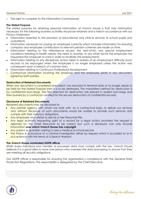The right to complain to the Information Commissioner.

# **The Stated Purpose**

The stated purpose for retaining personal information at Vranch House is that only information necessary for the following business activities should be retained and is held in accordance with our Privacy Statement:

- Information essential to the provision of educational and clinical services to school pupils and outpatients.
- Information necessary for paying an employee correctly which includes information for ensuring company and employee contributions to relevant pension schemes are made on time.
- Information relating to the attendance record, the next-of-kin, any special employment conditions (relating to health needs, the need to worship, or any other factor the employee has requested the employer to note in order to facilitate the employment).
- Information relating to any disciplinary action taken in redress of an employment difficulty (such records to be expunged when the employee is no longer employed unless the action was consequent upon a breach of common law).
- Information relating to Continuous Professional Development.
- **Contractual information involving the employer and the employee jointly in any document** signed by both parties.

# **Destruction of Retained Documents**

When any document is considered redundant, has reached its terminal date or no longer needs to be held for the Stated Purpose then it is to be destroyed. The mandated method for destruction is by confidential burn-bags. The files selected for destruction are placed in sealed burn-bags and then burned by a contractor certified for the secure destruction of confidential records.

#### **Disclosure of Retained Documents**

Retained documents may be disclosed to;

- Any partner agency with whom we work with, on a contractual basis, to deliver our services who without disclosure of such documents would be unable to provide such services and comply with their statutory obligations.
- Any employee who wishes to see his or her Personnel File.
- Any legal authority requesting sight of a record for a legal action provided the request is deemed by the Chief Executive to be correct but such a disclosure can only include information **over which Vranch House has copyright**.
- Any parent or guardian wishing to see a medical or school record.
- The Police in pursuance of a criminal investigation either by request which is acceded to or in accordance with the terms of a Search Warrant.

#### **The Vranch House nominated GDPR officer**

Whilst every individual who handles or processes data must comply with the law, Vranch House believes it is a good idea to have one person who oversees the data processing to ensure that they are meeting all security obligations.

Our GDPR officer is responsible for ensuring the organisation's compliance with the General Date Protection Regulations. This responsibility is delegated by the Chief Executive.



Making the difference